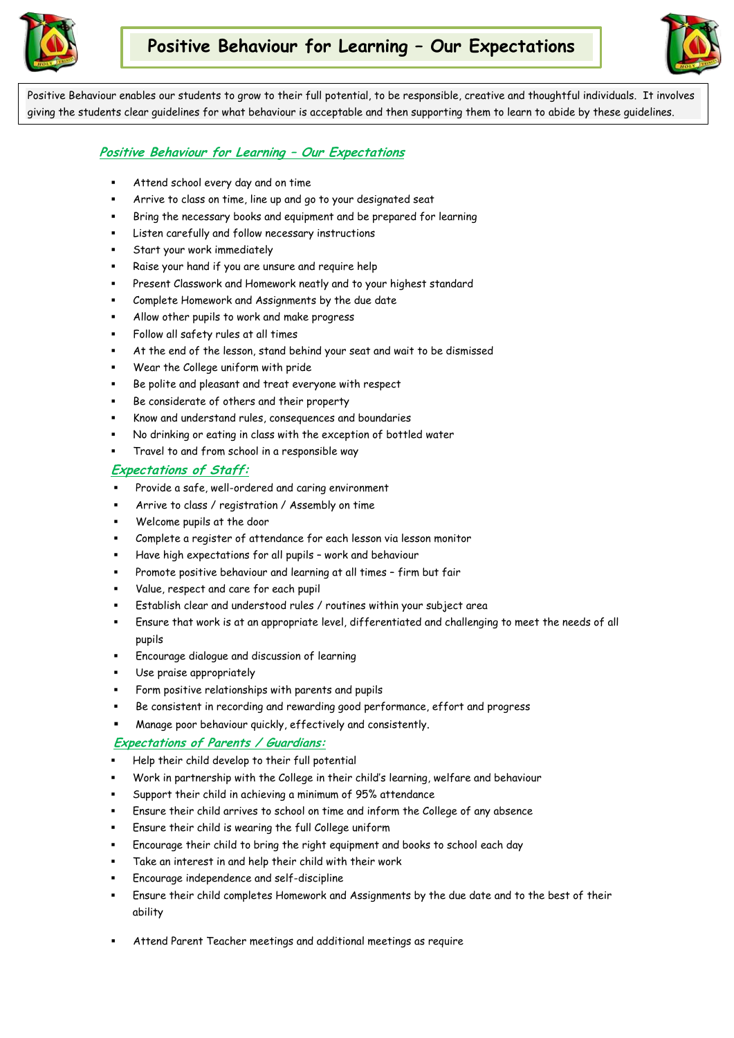



Positive Behaviour enables our students to grow to their full potential, to be responsible, creative and thoughtful individuals. It involves giving the students clear guidelines for what behaviour is acceptable and then supporting them to learn to abide by these guidelines.

### **Positive Behaviour for Learning – Our Expectations**

- Attend school every day and on time
- Arrive to class on time, line up and go to your designated seat
- Bring the necessary books and equipment and be prepared for learning
- Listen carefully and follow necessary instructions
- Start your work immediately
- Raise your hand if you are unsure and require help
- Present Classwork and Homework neatly and to your highest standard
- Complete Homework and Assignments by the due date
- Allow other pupils to work and make progress
- Follow all safety rules at all times
- At the end of the lesson, stand behind your seat and wait to be dismissed
- Wear the College uniform with pride
- Be polite and pleasant and treat everyone with respect
- Be considerate of others and their property
- Know and understand rules, consequences and boundaries
- No drinking or eating in class with the exception of bottled water
- Travel to and from school in a responsible way

### **Expectations of Staff:**

- Provide a safe, well-ordered and caring environment
- Arrive to class / registration / Assembly on time
- Welcome pupils at the door
- Complete a register of attendance for each lesson via lesson monitor
- Have high expectations for all pupils work and behaviour
- Promote positive behaviour and learning at all times firm but fair
- Value, respect and care for each pupil
- Establish clear and understood rules / routines within your subject area
- Ensure that work is at an appropriate level, differentiated and challenging to meet the needs of all pupils
- Encourage dialogue and discussion of learning
- Use praise appropriately
- Form positive relationships with parents and pupils
- Be consistent in recording and rewarding good performance, effort and progress
- Manage poor behaviour quickly, effectively and consistently.

### **Expectations of Parents / Guardians:**

- Help their child develop to their full potential
- Work in partnership with the College in their child's learning, welfare and behaviour
- Support their child in achieving a minimum of 95% attendance
- Ensure their child arrives to school on time and inform the College of any absence
- Ensure their child is wearing the full College uniform
- Encourage their child to bring the right equipment and books to school each day
- Take an interest in and help their child with their work
- Encourage independence and self-discipline
- Ensure their child completes Homework and Assignments by the due date and to the best of their ability
- Attend Parent Teacher meetings and additional meetings as require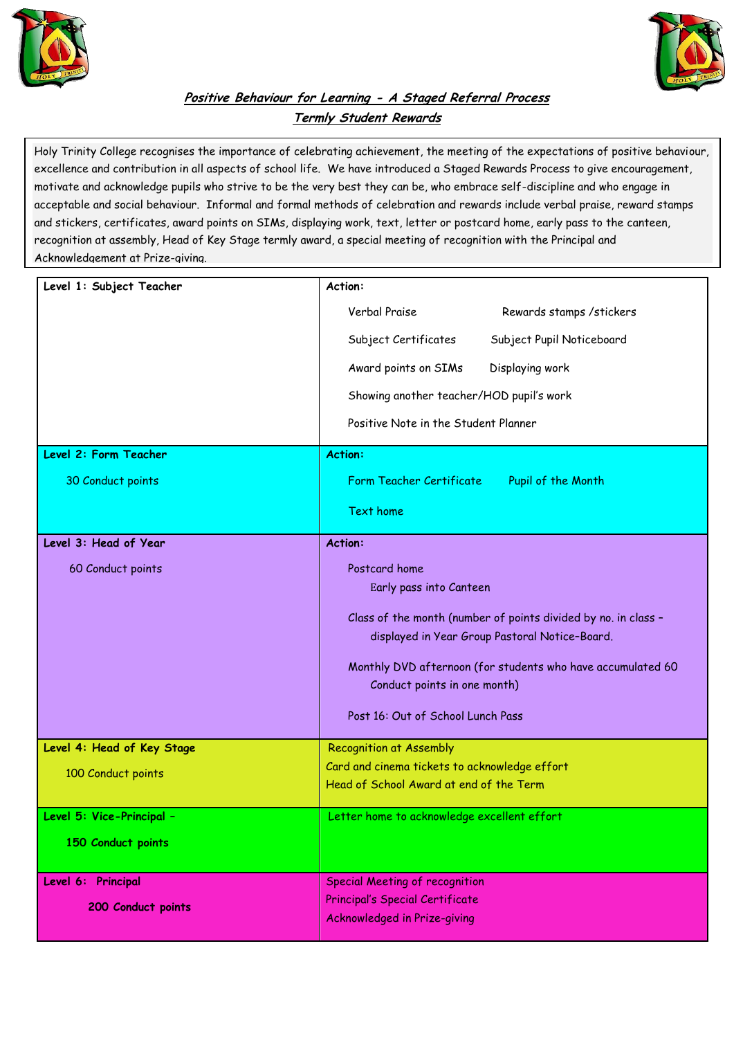



## **Positive Behaviour for Learning - A Staged Referral Process Termly Student Rewards**

Holy Trinity College recognises the importance of celebrating achievement, the meeting of the expectations of positive behaviour, excellence and contribution in all aspects of school life. We have introduced a Staged Rewards Process to give encouragement, motivate and acknowledge pupils who strive to be the very best they can be, who embrace self-discipline and who engage in acceptable and social behaviour. Informal and formal methods of celebration and rewards include verbal praise, reward stamps and stickers, certificates, award points on SIMs, displaying work, text, letter or postcard home, early pass to the canteen, recognition at assembly, Head of Key Stage termly award, a special meeting of recognition with the Principal and Acknowledgement at Prize-giving.

| Level 1: Subject Teacher                 | Action:                                                                                                                                                                                                                                                                                          |
|------------------------------------------|--------------------------------------------------------------------------------------------------------------------------------------------------------------------------------------------------------------------------------------------------------------------------------------------------|
| Level 2: Form Teacher                    | Verbal Praise<br>Rewards stamps / stickers<br>Subject Pupil Noticeboard<br>Subject Certificates<br>Award points on SIMs<br>Displaying work<br>Showing another teacher/HOD pupil's work<br>Positive Note in the Student Planner<br><b>Action:</b>                                                 |
| 30 Conduct points                        | Form Teacher Certificate<br>Pupil of the Month                                                                                                                                                                                                                                                   |
|                                          | <b>Text home</b>                                                                                                                                                                                                                                                                                 |
| Level 3: Head of Year                    | <b>Action:</b>                                                                                                                                                                                                                                                                                   |
| 60 Conduct points                        | Postcard home<br>Early pass into Canteen<br>Class of the month (number of points divided by no. in class -<br>displayed in Year Group Pastoral Notice-Board.<br>Monthly DVD afternoon (for students who have accumulated 60<br>Conduct points in one month)<br>Post 16: Out of School Lunch Pass |
| Level 4: Head of Key Stage               | <b>Recognition at Assembly</b>                                                                                                                                                                                                                                                                   |
| 100 Conduct points                       | Card and cinema tickets to acknowledge effort<br>Head of School Award at end of the Term                                                                                                                                                                                                         |
| Level 5: Vice-Principal -                | Letter home to acknowledge excellent effort                                                                                                                                                                                                                                                      |
| 150 Conduct points                       |                                                                                                                                                                                                                                                                                                  |
| Level 6: Principal<br>200 Conduct points | <b>Special Meeting of recognition</b><br>Principal's Special Certificate<br>Acknowledged in Prize-giving                                                                                                                                                                                         |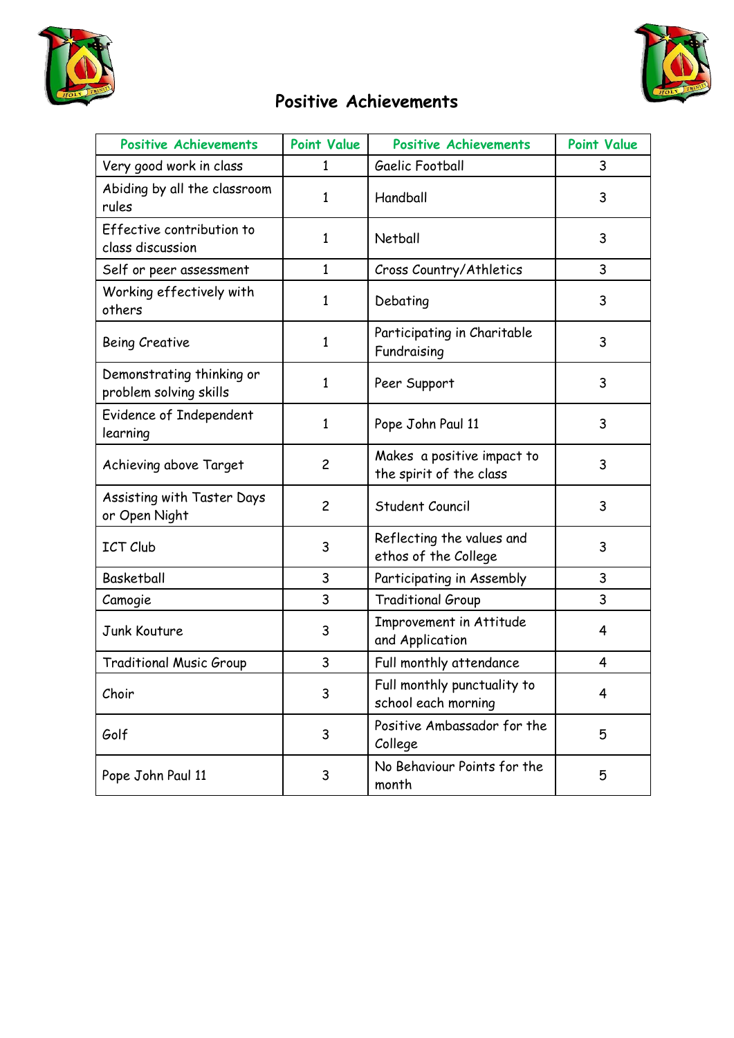



# **Positive Achievements**

| <b>Positive Achievements</b>                        | <b>Point Value</b> | <b>Positive Achievements</b>                          | <b>Point Value</b> |
|-----------------------------------------------------|--------------------|-------------------------------------------------------|--------------------|
| Very good work in class                             | 1                  | Gaelic Football                                       | 3                  |
| Abiding by all the classroom<br>rules               | 1                  | Handball                                              | 3                  |
| Effective contribution to<br>class discussion       | 1                  | Netball                                               | 3                  |
| Self or peer assessment                             | $\mathbf{1}$       | Cross Country/Athletics                               | 3                  |
| Working effectively with<br>others                  | 1                  | Debating                                              | 3                  |
| <b>Being Creative</b>                               | 1                  | Participating in Charitable<br>Fundraising            | 3                  |
| Demonstrating thinking or<br>problem solving skills | 1                  | Peer Support                                          | 3                  |
| Evidence of Independent<br>learning                 | $\mathbf{1}$       | Pope John Paul 11                                     | 3                  |
| Achieving above Target                              | $\overline{c}$     | Makes a positive impact to<br>the spirit of the class | 3                  |
| Assisting with Taster Days<br>or Open Night         | $\overline{c}$     | Student Council                                       | 3                  |
| <b>ICT Club</b>                                     | 3                  | Reflecting the values and<br>ethos of the College     | 3                  |
| <b>Basketball</b>                                   | 3                  | Participating in Assembly                             | 3                  |
| Camogie                                             | 3                  | <b>Traditional Group</b>                              | 3                  |
| Junk Kouture                                        | 3                  | Improvement in Attitude<br>and Application            | 4                  |
| <b>Traditional Music Group</b>                      | 3                  | Full monthly attendance                               | 4                  |
| Choir                                               | 3                  | Full monthly punctuality to<br>school each morning    | 4                  |
| Golf                                                | 3                  | Positive Ambassador for the<br>College                | 5                  |
| Pope John Paul 11                                   | 3                  | No Behaviour Points for the<br>month                  | 5                  |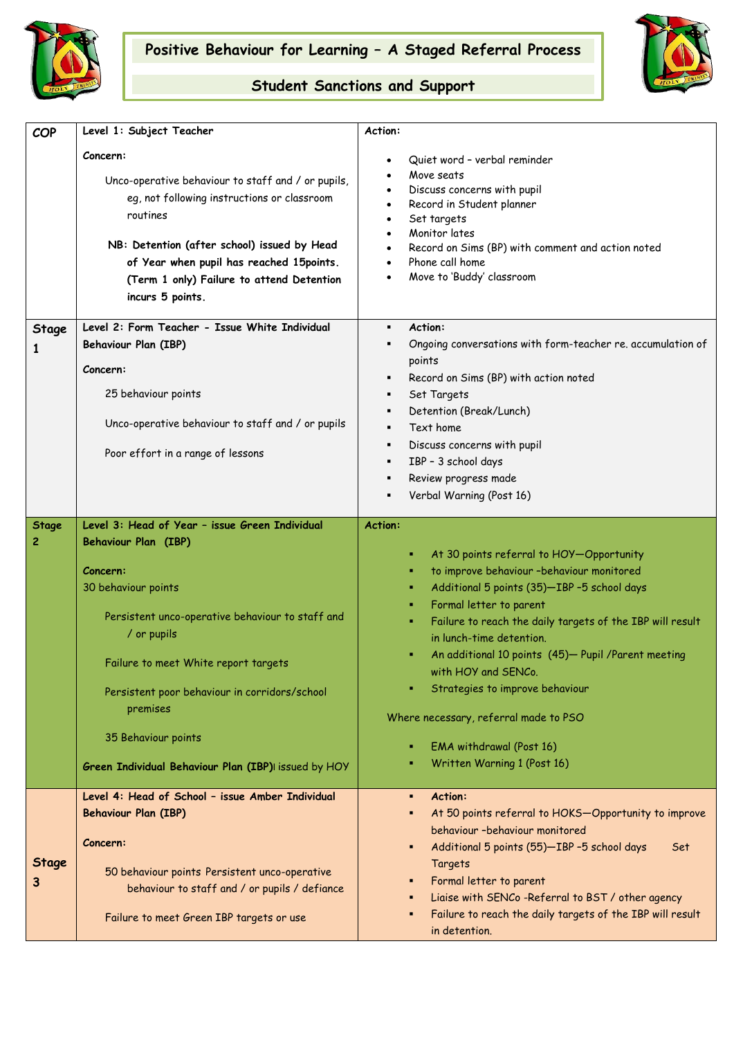



## **Student Sanctions and Support**

| <b>COP</b>        | Level 1: Subject Teacher                                                                                                                                                                                                                                                                                             | Action:                                                                                                                                                                                                                                                                                                                                                                                                                                                                                            |
|-------------------|----------------------------------------------------------------------------------------------------------------------------------------------------------------------------------------------------------------------------------------------------------------------------------------------------------------------|----------------------------------------------------------------------------------------------------------------------------------------------------------------------------------------------------------------------------------------------------------------------------------------------------------------------------------------------------------------------------------------------------------------------------------------------------------------------------------------------------|
|                   | Concern:<br>Unco-operative behaviour to staff and / or pupils,<br>eg, not following instructions or classroom<br>routines<br>NB: Detention (after school) issued by Head<br>of Year when pupil has reached 15points.<br>(Term 1 only) Failure to attend Detention<br>incurs 5 points.                                | Quiet word - verbal reminder<br>Move seats<br>Discuss concerns with pupil<br>Record in Student planner<br>$\bullet$<br>Set targets<br>Monitor lates<br>$\bullet$<br>Record on Sims (BP) with comment and action noted<br>Phone call home<br>$\bullet$<br>Move to 'Buddy' classroom                                                                                                                                                                                                                 |
| Stage             | Level 2: Form Teacher - Issue White Individual                                                                                                                                                                                                                                                                       | Action:<br>٠                                                                                                                                                                                                                                                                                                                                                                                                                                                                                       |
|                   | <b>Behaviour Plan (IBP)</b>                                                                                                                                                                                                                                                                                          | Ongoing conversations with form-teacher re. accumulation of<br>٠                                                                                                                                                                                                                                                                                                                                                                                                                                   |
|                   | Concern:                                                                                                                                                                                                                                                                                                             | points                                                                                                                                                                                                                                                                                                                                                                                                                                                                                             |
|                   | 25 behaviour points                                                                                                                                                                                                                                                                                                  | Record on Sims (BP) with action noted<br>٠                                                                                                                                                                                                                                                                                                                                                                                                                                                         |
|                   |                                                                                                                                                                                                                                                                                                                      | Set Targets<br>٠<br>Detention (Break/Lunch)                                                                                                                                                                                                                                                                                                                                                                                                                                                        |
|                   | Unco-operative behaviour to staff and / or pupils                                                                                                                                                                                                                                                                    | Text home                                                                                                                                                                                                                                                                                                                                                                                                                                                                                          |
|                   | Poor effort in a range of lessons                                                                                                                                                                                                                                                                                    | Discuss concerns with pupil<br>٠                                                                                                                                                                                                                                                                                                                                                                                                                                                                   |
|                   |                                                                                                                                                                                                                                                                                                                      | IBP - 3 school days<br>٠                                                                                                                                                                                                                                                                                                                                                                                                                                                                           |
|                   |                                                                                                                                                                                                                                                                                                                      | Review progress made<br>٠                                                                                                                                                                                                                                                                                                                                                                                                                                                                          |
|                   |                                                                                                                                                                                                                                                                                                                      | Verbal Warning (Post 16)                                                                                                                                                                                                                                                                                                                                                                                                                                                                           |
| <b>Stage</b>      | Level 3: Head of Year - issue Green Individual                                                                                                                                                                                                                                                                       | <b>Action:</b>                                                                                                                                                                                                                                                                                                                                                                                                                                                                                     |
| 2                 | <b>Behaviour Plan (IBP)</b><br>Concern:<br>30 behaviour points<br>Persistent unco-operative behaviour to staff and<br>/ or pupils<br>Failure to meet White report targets<br>Persistent poor behaviour in corridors/school<br>premises<br>35 Behaviour points<br>Green Individual Behaviour Plan (IBP) issued by HOY | At 30 points referral to HOY-Opportunity<br>п<br>to improve behaviour -behaviour monitored<br>п<br>Additional 5 points (35)-IBP -5 school days<br>Formal letter to parent<br>Failure to reach the daily targets of the IBP will result<br>٠<br>in lunch-time detention.<br>An additional 10 points (45)- Pupil / Parent meeting<br>with HOY and SENCo.<br>Strategies to improve behaviour<br>Where necessary, referral made to PSO<br>EMA withdrawal (Post 16)<br>п<br>Written Warning 1 (Post 16) |
|                   | Level 4: Head of School - issue Amber Individual                                                                                                                                                                                                                                                                     | Action:<br>٠                                                                                                                                                                                                                                                                                                                                                                                                                                                                                       |
| <b>Stage</b><br>З | <b>Behaviour Plan (IBP)</b><br>Concern:<br>50 behaviour points Persistent unco-operative<br>behaviour to staff and / or pupils / defiance                                                                                                                                                                            | At 50 points referral to HOKS-Opportunity to improve<br>٠<br>behaviour -behaviour monitored<br>Additional 5 points (55)-IBP-5 school days<br>Set<br>٠<br>Targets<br>Formal letter to parent<br>п                                                                                                                                                                                                                                                                                                   |
|                   | Failure to meet Green IBP targets or use                                                                                                                                                                                                                                                                             | Liaise with SENCo -Referral to BST / other agency<br>Failure to reach the daily targets of the IBP will result<br>in detention.                                                                                                                                                                                                                                                                                                                                                                    |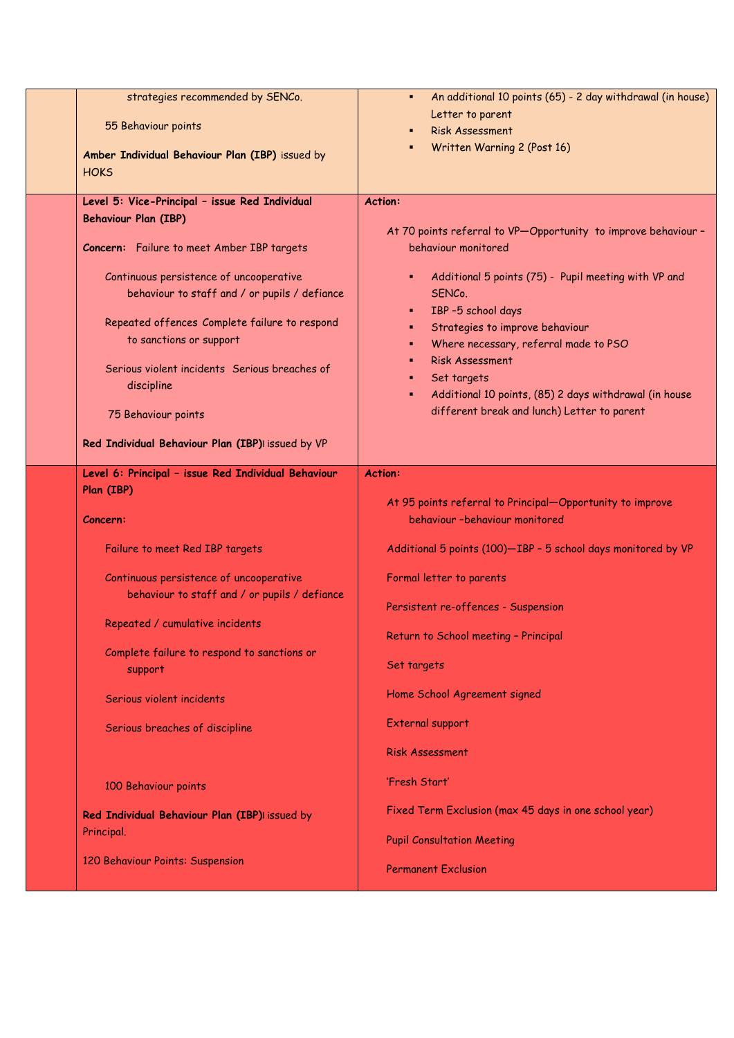| strategies recommended by SENCo.<br>55 Behaviour points<br>Amber Individual Behaviour Plan (IBP) issued by<br><b>HOKS</b><br>Level 5: Vice-Principal - issue Red Individual<br><b>Behaviour Plan (IBP)</b><br>Concern: Failure to meet Amber IBP targets<br>Continuous persistence of uncooperative<br>behaviour to staff and / or pupils / defiance<br>Repeated offences Complete failure to respond<br>to sanctions or support<br>Serious violent incidents Serious breaches of<br>discipline | An additional 10 points (65) - 2 day withdrawal (in house)<br>٠<br>Letter to parent<br><b>Risk Assessment</b><br>Written Warning 2 (Post 16)<br>٠<br><b>Action:</b><br>At 70 points referral to VP-Opportunity to improve behaviour -<br>behaviour monitored<br>Additional 5 points (75) - Pupil meeting with VP and<br>٠<br>SENC <sub>o.</sub><br>IBP -5 school days<br>٠<br>Strategies to improve behaviour<br>٠<br>Where necessary, referral made to PSO<br>٠.<br><b>Risk Assessment</b><br>٠<br>Set targets<br>٠.<br>Additional 10 points, (85) 2 days withdrawal (in house<br>٠ |
|-------------------------------------------------------------------------------------------------------------------------------------------------------------------------------------------------------------------------------------------------------------------------------------------------------------------------------------------------------------------------------------------------------------------------------------------------------------------------------------------------|--------------------------------------------------------------------------------------------------------------------------------------------------------------------------------------------------------------------------------------------------------------------------------------------------------------------------------------------------------------------------------------------------------------------------------------------------------------------------------------------------------------------------------------------------------------------------------------|
| 75 Behaviour points<br>Red Individual Behaviour Plan (IBP)I issued by VP                                                                                                                                                                                                                                                                                                                                                                                                                        | different break and lunch) Letter to parent                                                                                                                                                                                                                                                                                                                                                                                                                                                                                                                                          |
| Level 6: Principal - issue Red Individual Behaviour<br>Plan (IBP)<br>Concern:                                                                                                                                                                                                                                                                                                                                                                                                                   | <b>Action:</b><br>At 95 points referral to Principal-Opportunity to improve<br>behaviour -behaviour monitored                                                                                                                                                                                                                                                                                                                                                                                                                                                                        |
| Failure to meet Red IBP targets<br>Continuous persistence of uncooperative<br>behaviour to staff and / or pupils / defiance<br>Repeated / cumulative incidents<br>Complete failure to respond to sanctions or<br>support                                                                                                                                                                                                                                                                        | Additional 5 points (100)-IBP - 5 school days monitored by VP<br>Formal letter to parents<br>Persistent re-offences - Suspension<br>Return to School meeting - Principal<br>Set targets                                                                                                                                                                                                                                                                                                                                                                                              |
| Serious violent incidents<br>Serious breaches of discipline                                                                                                                                                                                                                                                                                                                                                                                                                                     | Home School Agreement signed<br>External support<br><b>Risk Assessment</b>                                                                                                                                                                                                                                                                                                                                                                                                                                                                                                           |
| 100 Behaviour points<br>Red Individual Behaviour Plan (IBP)I issued by<br>Principal.<br>120 Behaviour Points: Suspension                                                                                                                                                                                                                                                                                                                                                                        | 'Fresh Start'<br>Fixed Term Exclusion (max 45 days in one school year)<br><b>Pupil Consultation Meeting</b><br><b>Permanent Exclusion</b>                                                                                                                                                                                                                                                                                                                                                                                                                                            |
|                                                                                                                                                                                                                                                                                                                                                                                                                                                                                                 |                                                                                                                                                                                                                                                                                                                                                                                                                                                                                                                                                                                      |